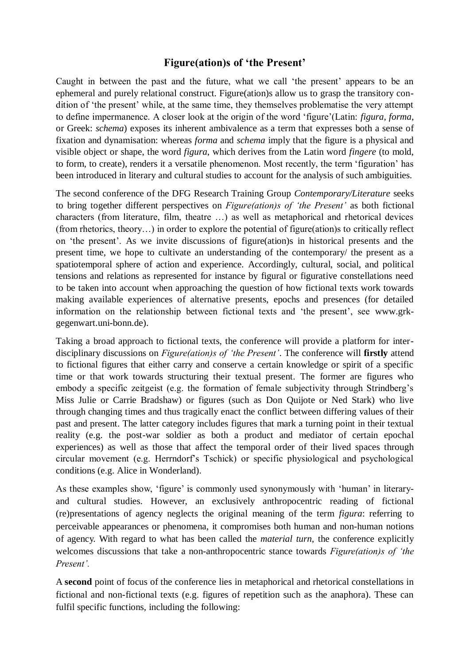## **Figure(ation)s of 'the Present'**

Caught in between the past and the future, what we call 'the present' appears to be an ephemeral and purely relational construct. Figure(ation)s allow us to grasp the transitory condition of 'the present' while, at the same time, they themselves problematise the very attempt to define impermanence. A closer look at the origin of the word 'figure'(Latin: *figura*, *forma*, or Greek: *schema*) exposes its inherent ambivalence as a term that expresses both a sense of fixation and dynamisation: whereas *forma* and *schema* imply that the figure is a physical and visible object or shape, the word *figura*, which derives from the Latin word *fingere* (to mold, to form, to create), renders it a versatile phenomenon. Most recently, the term 'figuration' has been introduced in literary and cultural studies to account for the analysis of such ambiguities.

The second conference of the DFG Research Training Group *Contemporary/Literature* seeks to bring together different perspectives on *Figure(ation)s of 'the Present'* as both fictional characters (from literature, film, theatre …) as well as metaphorical and rhetorical devices (from rhetorics, theory…) in order to explore the potential of figure(ation)s to critically reflect on 'the present'. As we invite discussions of figure(ation)s in historical presents and the present time, we hope to cultivate an understanding of the contemporary/ the present as a spatiotemporal sphere of action and experience. Accordingly, cultural, social, and political tensions and relations as represented for instance by figural or figurative constellations need to be taken into account when approaching the question of how fictional texts work towards making available experiences of alternative presents, epochs and presences (for detailed information on the relationship between fictional texts and 'the present', see www.grkgegenwart.uni-bonn.de).

Taking a broad approach to fictional texts, the conference will provide a platform for interdisciplinary discussions on *Figure(ation)s of 'the Present'*. The conference will **firstly** attend to fictional figures that either carry and conserve a certain knowledge or spirit of a specific time or that work towards structuring their textual present. The former are figures who embody a specific zeitgeist (e.g. the formation of female subjectivity through Strindberg's Miss Julie or Carrie Bradshaw) or figures (such as Don Quijote or Ned Stark) who live through changing times and thus tragically enact the conflict between differing values of their past and present. The latter category includes figures that mark a turning point in their textual reality (e.g. the post-war soldier as both a product and mediator of certain epochal experiences) as well as those that affect the temporal order of their lived spaces through circular movement (e.g. Herrndorf's Tschick) or specific physiological and psychological conditions (e.g. Alice in Wonderland).

As these examples show, 'figure' is commonly used synonymously with 'human' in literaryand cultural studies. However, an exclusively anthropocentric reading of fictional (re)presentations of agency neglects the original meaning of the term *figura*: referring to perceivable appearances or phenomena, it compromises both human and non-human notions of agency. With regard to what has been called the *material turn,* the conference explicitly welcomes discussions that take a non-anthropocentric stance towards *Figure(ation)s of 'the Present'.*

A **second** point of focus of the conference lies in metaphorical and rhetorical constellations in fictional and non-fictional texts (e.g. figures of repetition such as the anaphora). These can fulfil specific functions, including the following: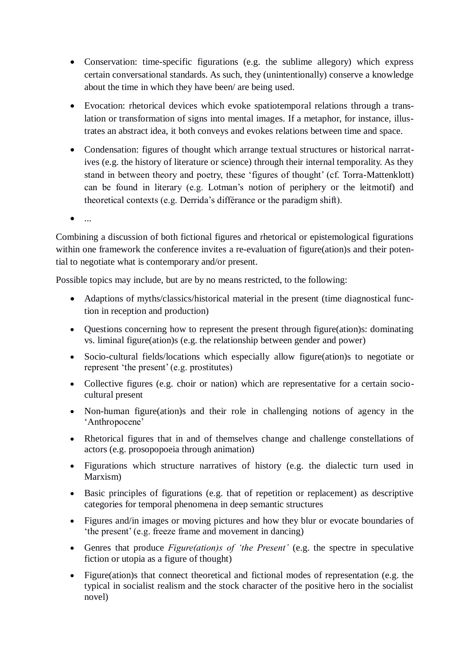- Conservation: time-specific figurations (e.g. the sublime allegory) which express certain conversational standards. As such, they (unintentionally) conserve a knowledge about the time in which they have been/ are being used.
- Evocation: rhetorical devices which evoke spatiotemporal relations through a translation or transformation of signs into mental images. If a metaphor, for instance, illustrates an abstract idea, it both conveys and evokes relations between time and space.
- Condensation: figures of thought which arrange textual structures or historical narratives (e.g. the history of literature or science) through their internal temporality. As they stand in between theory and poetry, these 'figures of thought' (cf. Torra-Mattenklott) can be found in literary (e.g. Lotman's notion of periphery or the leitmotif) and theoretical contexts (e.g. Derrida's différance or the paradigm shift).
- $\bullet$  ...

Combining a discussion of both fictional figures and rhetorical or epistemological figurations within one framework the conference invites a re-evaluation of figure(ation)s and their potential to negotiate what is contemporary and/or present.

Possible topics may include, but are by no means restricted, to the following:

- Adaptions of myths/classics/historical material in the present (time diagnostical function in reception and production)
- Questions concerning how to represent the present through figure(ation)s: dominating vs. liminal figure(ation)s (e.g. the relationship between gender and power)
- Socio-cultural fields/locations which especially allow figure(ation)s to negotiate or represent 'the present' (e.g. prostitutes)
- Collective figures (e.g. choir or nation) which are representative for a certain sociocultural present
- Non-human figure(ation)s and their role in challenging notions of agency in the 'Anthropocene'
- Rhetorical figures that in and of themselves change and challenge constellations of actors (e.g. prosopopoeia through animation)
- Figurations which structure narratives of history (e.g. the dialectic turn used in Marxism)
- Basic principles of figurations (e.g. that of repetition or replacement) as descriptive categories for temporal phenomena in deep semantic structures
- Figures and/in images or moving pictures and how they blur or evocate boundaries of 'the present' (e.g. freeze frame and movement in dancing)
- Genres that produce *Figure(ation)s of 'the Present'* (e.g. the spectre in speculative fiction or utopia as a figure of thought)
- Figure(ation)s that connect theoretical and fictional modes of representation (e.g. the typical in socialist realism and the stock character of the positive hero in the socialist novel)